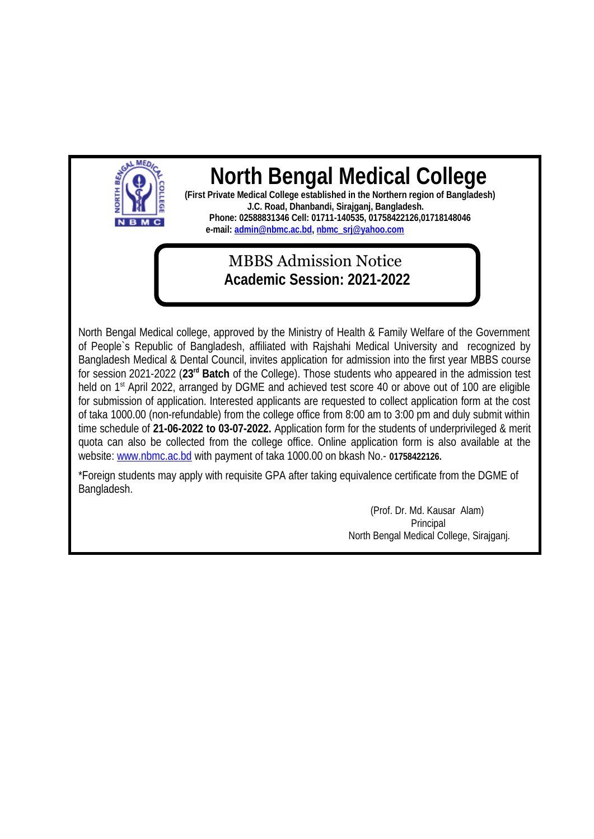